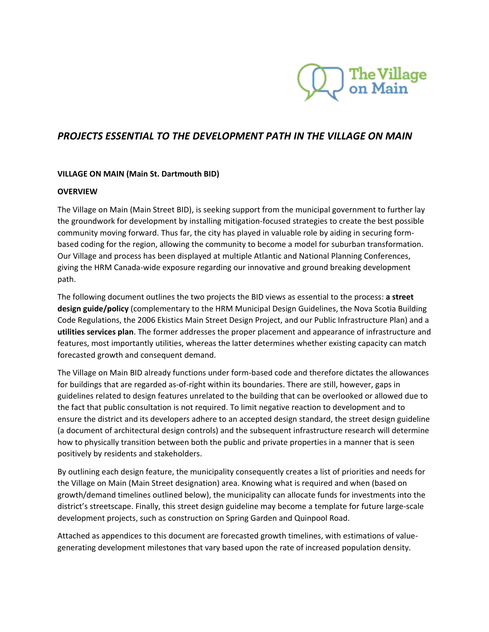

# *PROJECTS ESSENTIAL TO THE DEVELOPMENT PATH IN THE VILLAGE ON MAIN*

# **VILLAGE ON MAIN (Main St. Dartmouth BID)**

#### **OVERVIEW**

The Village on Main (Main Street BID), is seeking support from the municipal government to further lay the groundwork for development by installing mitigation-focused strategies to create the best possible community moving forward. Thus far, the city has played in valuable role by aiding in securing formbased coding for the region, allowing the community to become a model for suburban transformation. Our Village and process has been displayed at multiple Atlantic and National Planning Conferences, giving the HRM Canada-wide exposure regarding our innovative and ground breaking development path.

The following document outlines the two projects the BID views as essential to the process: **a street design guide/policy** (complementary to the HRM Municipal Design Guidelines, the Nova Scotia Building Code Regulations, the 2006 Ekistics Main Street Design Project, and our Public Infrastructure Plan) and a **utilities services plan**. The former addresses the proper placement and appearance of infrastructure and features, most importantly utilities, whereas the latter determines whether existing capacity can match forecasted growth and consequent demand.

The Village on Main BID already functions under form-based code and therefore dictates the allowances for buildings that are regarded as-of-right within its boundaries. There are still, however, gaps in guidelines related to design features unrelated to the building that can be overlooked or allowed due to the fact that public consultation is not required. To limit negative reaction to development and to ensure the district and its developers adhere to an accepted design standard, the street design guideline (a document of architectural design controls) and the subsequent infrastructure research will determine how to physically transition between both the public and private properties in a manner that is seen positively by residents and stakeholders.

By outlining each design feature, the municipality consequently creates a list of priorities and needs for the Village on Main (Main Street designation) area. Knowing what is required and when (based on growth/demand timelines outlined below), the municipality can allocate funds for investments into the district's streetscape. Finally, this street design guideline may become a template for future large-scale development projects, such as construction on Spring Garden and Quinpool Road.

Attached as appendices to this document are forecasted growth timelines, with estimations of valuegenerating development milestones that vary based upon the rate of increased population density.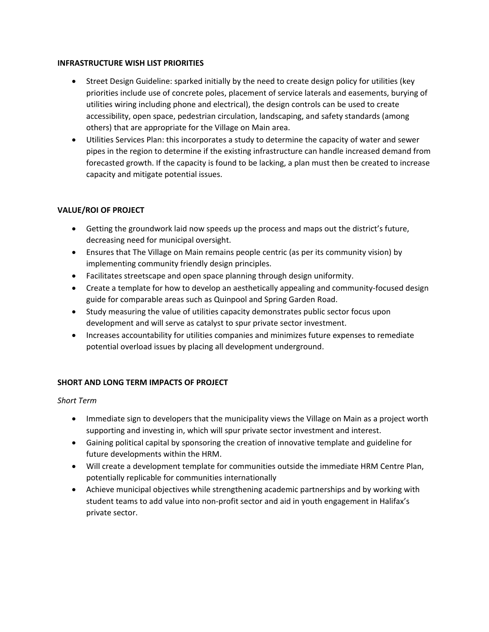# **INFRASTRUCTURE WISH LIST PRIORITIES**

- Street Design Guideline: sparked initially by the need to create design policy for utilities (key priorities include use of concrete poles, placement of service laterals and easements, burying of utilities wiring including phone and electrical), the design controls can be used to create accessibility, open space, pedestrian circulation, landscaping, and safety standards (among others) that are appropriate for the Village on Main area.
- Utilities Services Plan: this incorporates a study to determine the capacity of water and sewer pipes in the region to determine if the existing infrastructure can handle increased demand from forecasted growth. If the capacity is found to be lacking, a plan must then be created to increase capacity and mitigate potential issues.

# **VALUE/ROI OF PROJECT**

- Getting the groundwork laid now speeds up the process and maps out the district's future, decreasing need for municipal oversight.
- Ensures that The Village on Main remains people centric (as per its community vision) by implementing community friendly design principles.
- Facilitates streetscape and open space planning through design uniformity.
- Create a template for how to develop an aesthetically appealing and community-focused design guide for comparable areas such as Quinpool and Spring Garden Road.
- Study measuring the value of utilities capacity demonstrates public sector focus upon development and will serve as catalyst to spur private sector investment.
- Increases accountability for utilities companies and minimizes future expenses to remediate potential overload issues by placing all development underground.

# **SHORT AND LONG TERM IMPACTS OF PROJECT**

*Short Term*

- Immediate sign to developers that the municipality views the Village on Main as a project worth supporting and investing in, which will spur private sector investment and interest.
- Gaining political capital by sponsoring the creation of innovative template and guideline for future developments within the HRM.
- Will create a development template for communities outside the immediate HRM Centre Plan, potentially replicable for communities internationally
- Achieve municipal objectives while strengthening academic partnerships and by working with student teams to add value into non-profit sector and aid in youth engagement in Halifax's private sector.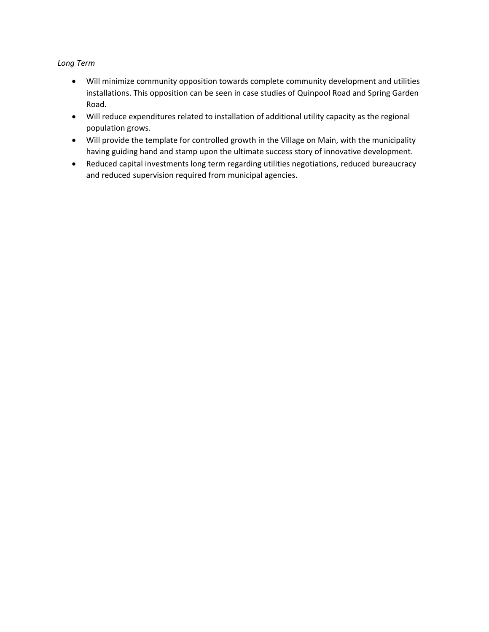# *Long Term*

- Will minimize community opposition towards complete community development and utilities installations. This opposition can be seen in case studies of Quinpool Road and Spring Garden Road.
- Will reduce expenditures related to installation of additional utility capacity as the regional population grows.
- Will provide the template for controlled growth in the Village on Main, with the municipality having guiding hand and stamp upon the ultimate success story of innovative development.
- Reduced capital investments long term regarding utilities negotiations, reduced bureaucracy and reduced supervision required from municipal agencies.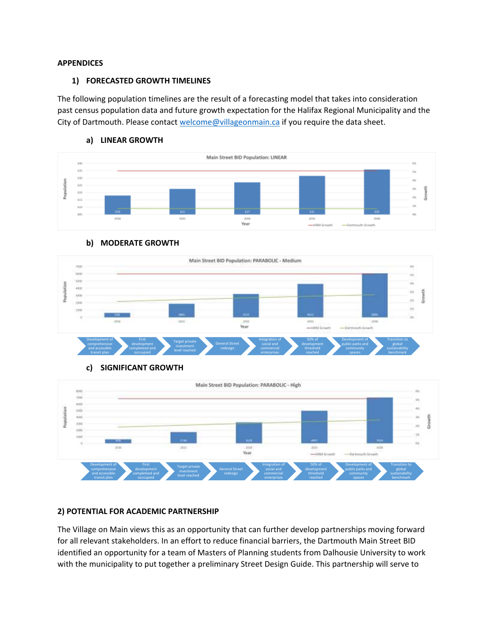# **APPENDICES**

### **1) FORECASTED GROWTH TIMELINES**

The following population timelines are the result of a forecasting model that takes into consideration past census population data and future growth expectation for the Halifax Regional Municipality and the City of Dartmouth. Please contact [welcome@villageonmain.ca](mailto:welcome@villageonmain.ca) if you require the data sheet.



# **a) LINEAR GROWTH**



# **b) MODERATE GROWTH**





# **2) POTENTIAL FOR ACADEMIC PARTNERSHIP**

The Village on Main views this as an opportunity that can further develop partnerships moving forward for all relevant stakeholders. In an effort to reduce financial barriers, the Dartmouth Main Street BID identified an opportunity for a team of Masters of Planning students from Dalhousie University to work with the municipality to put together a preliminary Street Design Guide. This partnership will serve to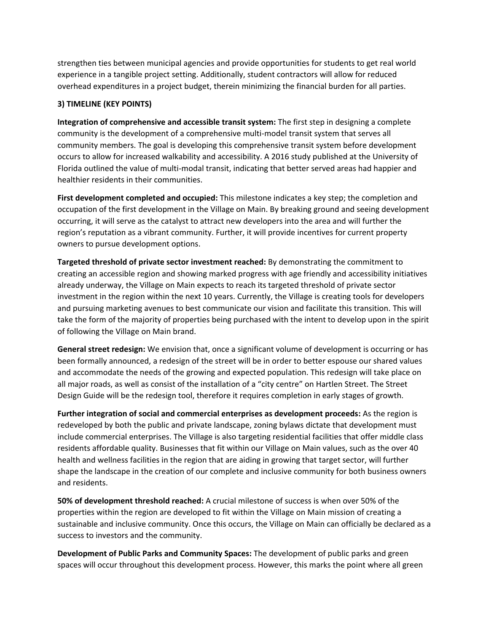strengthen ties between municipal agencies and provide opportunities for students to get real world experience in a tangible project setting. Additionally, student contractors will allow for reduced overhead expenditures in a project budget, therein minimizing the financial burden for all parties.

# **3) TIMELINE (KEY POINTS)**

**Integration of comprehensive and accessible transit system:** The first step in designing a complete community is the development of a comprehensive multi-model transit system that serves all community members. The goal is developing this comprehensive transit system before development occurs to allow for increased walkability and accessibility. A 2016 study published at the University of Florida outlined the value of multi-modal transit, indicating that better served areas had happier and healthier residents in their communities.

**First development completed and occupied:** This milestone indicates a key step; the completion and occupation of the first development in the Village on Main. By breaking ground and seeing development occurring, it will serve as the catalyst to attract new developers into the area and will further the region's reputation as a vibrant community. Further, it will provide incentives for current property owners to pursue development options.

**Targeted threshold of private sector investment reached:** By demonstrating the commitment to creating an accessible region and showing marked progress with age friendly and accessibility initiatives already underway, the Village on Main expects to reach its targeted threshold of private sector investment in the region within the next 10 years. Currently, the Village is creating tools for developers and pursuing marketing avenues to best communicate our vision and facilitate this transition. This will take the form of the majority of properties being purchased with the intent to develop upon in the spirit of following the Village on Main brand.

**General street redesign:** We envision that, once a significant volume of development is occurring or has been formally announced, a redesign of the street will be in order to better espouse our shared values and accommodate the needs of the growing and expected population. This redesign will take place on all major roads, as well as consist of the installation of a "city centre" on Hartlen Street. The Street Design Guide will be the redesign tool, therefore it requires completion in early stages of growth.

**Further integration of social and commercial enterprises as development proceeds:** As the region is redeveloped by both the public and private landscape, zoning bylaws dictate that development must include commercial enterprises. The Village is also targeting residential facilities that offer middle class residents affordable quality. Businesses that fit within our Village on Main values, such as the over 40 health and wellness facilities in the region that are aiding in growing that target sector, will further shape the landscape in the creation of our complete and inclusive community for both business owners and residents.

**50% of development threshold reached:** A crucial milestone of success is when over 50% of the properties within the region are developed to fit within the Village on Main mission of creating a sustainable and inclusive community. Once this occurs, the Village on Main can officially be declared as a success to investors and the community.

**Development of Public Parks and Community Spaces:** The development of public parks and green spaces will occur throughout this development process. However, this marks the point where all green